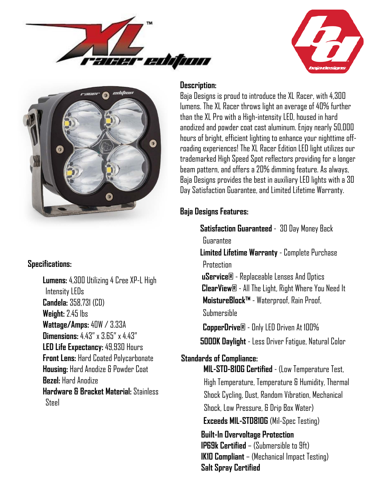





## **Specifications:**

 **Lumens:** 4,300 Utilizing 4 Cree XP-L High Intensity LEDs **Candela:** 358,731 (CD) **Weight:** 2.45 lbs **Wattage/Amps:** 40W / 3.33A **Dimensions:** 4.43" x 3.65" x 4.43" **LED Life Expectancy:** 49,930 Hours **Front Lens:** Hard Coated Polycarbonate **Housing:** Hard Anodize & Powder Coat **Bezel:** Hard Anodize **Hardware & Bracket Material:** Stainless Steel

## **Description:**

Baja Designs is proud to introduce the XL Racer, with 4,300 lumens. The XL Racer throws light an average of 40% further than the XL Pro with a High-intensity LED, housed in hard anodized and powder coat cast aluminum. Enjoy nearly 50,000 hours of bright, efficient lighting to enhance your nighttime offroading experiences! The XL Racer Edition LED light utilizes our trademarked High Speed Spot reflectors providing for a longer beam pattern, and offers a 20% dimming feature. As always, Baja Designs provides the best in auxiliary LED lights with a 30 Day Satisfaction Guarantee, and Limited Lifetime Warranty.

# **Baja Designs Features:**

 **Satisfaction Guaranteed** - 30 Day Money Back Guarantee **Limited Lifetime Warranty** - Complete Purchase **Protection uService®** - Replaceable Lenses And Optics **ClearView®** - All The Light, Right Where You Need It **MoistureBlock™** - Waterproof, Rain Proof, Submersible

 **CopperDrive®** - Only LED Driven At 100% **5000K Daylight** - Less Driver Fatigue, Natural Color

# **Standards of Compliance:**

**MIL-STD-810G Certified** - (Low Temperature Test, High Temperature, Temperature & Humidity, Thermal Shock Cycling, Dust, Random Vibration, Mechanical Shock, Low Pressure, & Drip Box Water) **Exceeds MIL-STD810G** (Mil-Spec Testing) **Built-In Overvoltage Protection IP69k Certified** – (Submersible to 9ft) **IK10 Compliant** – (Mechanical Impact Testing)

**Salt Spray Certified**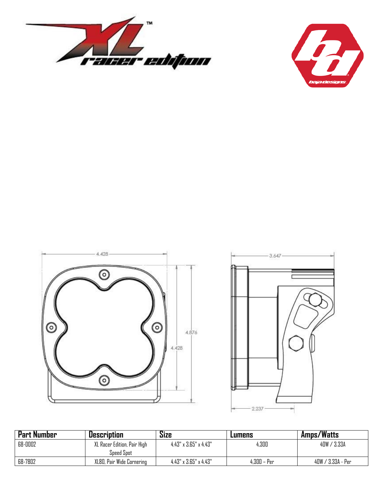







| <b>Part Number</b> | <b>Description</b>          | Size                              | Lumens        | Amps/Watts        |
|--------------------|-----------------------------|-----------------------------------|---------------|-------------------|
| 68-0002            | XL Racer Edition, Pair High | $4.43" \times 3.65" \times 4.43"$ | 4,300         | 40W / 3.33A       |
|                    | Speed Spot                  |                                   |               |                   |
| 68-7802            | XL80, Pair Wide Cornering   | $4.43" \times 3.65" \times 4.43"$ | $4,300 - Per$ | 40W / 3.33A - Per |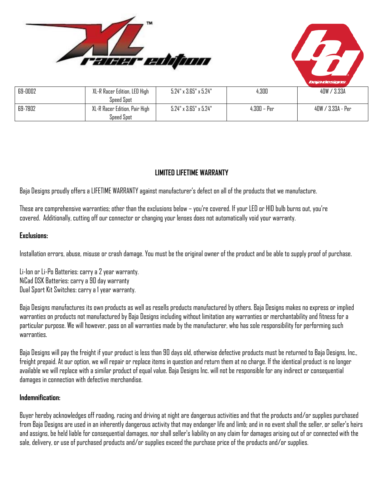



| 69-0002 | XL-R Racer Edition, LED High  | $5.24" \times 3.65" \times 5.24"$ | 4,300         | 40W / 3.33A          |
|---------|-------------------------------|-----------------------------------|---------------|----------------------|
|         | Speed Spot                    |                                   |               |                      |
| 69-7802 | XL-R Racer Edition, Pair High | $5.24" \times 3.65" \times 5.24"$ | $4.300 - Per$ | / 3.33A - Per<br>40W |
|         | Speed Spot                    |                                   |               |                      |

## **LIMITED LIFETIME WARRANTY**

Baja Designs proudly offers a LIFETIME WARRANTY against manufacturer's defect on all of the products that we manufacture.

These are comprehensive warranties; other than the exclusions below – you're covered. If your LED or HID bulb burns out, you're covered. Additionally, cutting off our connector or changing your lenses does not automatically void your warranty.

#### **Exclusions:**

Installation errors, abuse, misuse or crash damage. You must be the original owner of the product and be able to supply proof of purchase.

Li-Ion or Li-Po Batteries: carry a 2 year warranty. NiCad DSK Batteries: carry a 90 day warranty Dual Sport Kit Switches: carry a 1 year warranty.

Baja Designs manufactures its own products as well as resells products manufactured by others. Baja Designs makes no express or implied warranties on products not manufactured by Baja Designs including without limitation any warranties or merchantability and fitness for a particular purpose. We will however, pass on all warranties made by the manufacturer, who has sole responsibility for performing such warranties.

Baja Designs will pay the freight if your product is less than 90 days old, otherwise defective products must be returned to Baja Designs, Inc., freight prepaid. At our option, we will repair or replace items in question and return them at no charge. If the identical product is no longer available we will replace with a similar product of equal value. Baja Designs Inc. will not be responsible for any indirect or consequential damages in connection with defective merchandise.

#### **Indemnification:**

Buyer hereby acknowledges off roading, racing and driving at night are dangerous activities and that the products and/or supplies purchased from Baja Designs are used in an inherently dangerous activity that may endanger life and limb; and in no event shall the seller, or seller's heirs and assigns, be held liable for consequential damages, nor shall seller's liability on any claim for damages arising out of or connected with the sale, delivery, or use of purchased products and/or supplies exceed the purchase price of the products and/or supplies.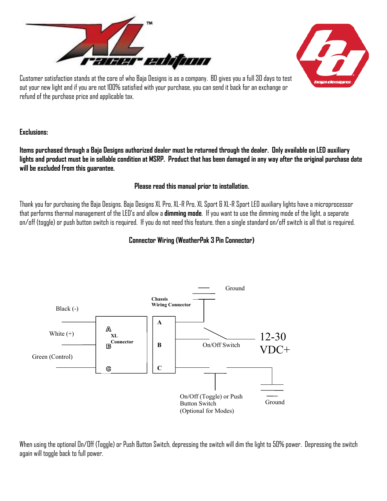



Customer satisfaction stands at the core of who Baja Designs is as a company. BD gives you a full 30 days to test out your new light and if you are not 100% satisfied with your purchase, you can send it back for an exchange or refund of the purchase price and applicable tax.

#### **Exclusions:**

**Items purchased through a Baja Designs authorized dealer must be returned through the dealer. Only available on LED auxiliary lights and product must be in sellable condition at MSRP. Product that has been damaged in any way after the original purchase date will be excluded from this guarantee.** 

#### **Please read this manual prior to installation.**

Thank you for purchasing the Baja Designs. Baja Designs XL Pro, XL-R Pro, XL Sport & XL-R Sport LED auxiliary lights have a microprocessor that performs thermal management of the LED's and allow a **dimming mode**. If you want to use the dimming mode of the light, a separate on/off (toggle) or push button switch is required. If you do not need this feature, then a single standard on/off switch is all that is required.

### **Connector Wiring (WeatherPak 3 Pin Connector)**



When using the optional On/Off (Toggle) or Push Button Switch, depressing the switch will dim the light to 50% power. Depressing the switch again will toggle back to full power.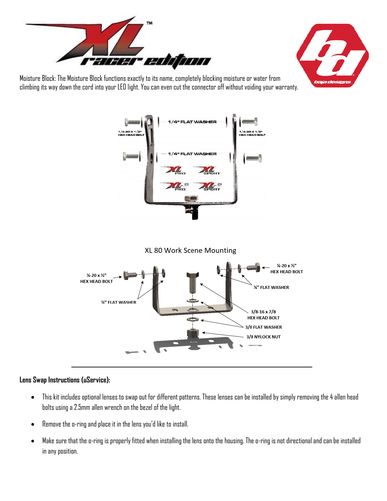



Moisture Block: The Moisture Block functions exactly to its name, completely blocking moisture or water from climbing its way down the cord into your LED light. You can even cut the connector off without voiding your warranty.



XL 80 Work Scene Mounting



#### **Lens Swap Instructions (uService):**

- This kit includes optional lenses to swap out for different patterns. These lenses can be installed by simply removing the 4 allen head bolts using a 2.5mm allen wrench on the bezel of the light.
- Remove the o-ring and place it in the lens you'd like to install.
- Make sure that the o-ring is properly fitted when installing the lens onto the housing. The o-ring is not directional and can be installed in any position.